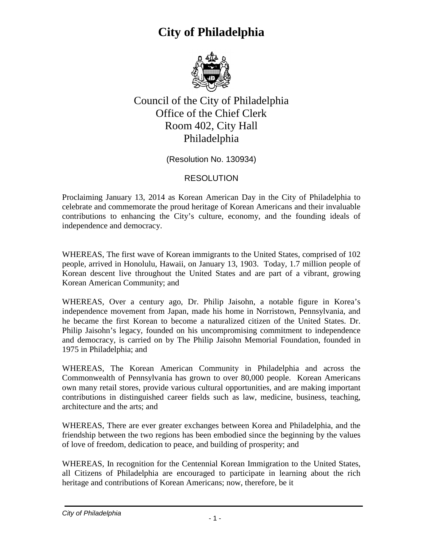

Council of the City of Philadelphia Office of the Chief Clerk Room 402, City Hall Philadelphia

(Resolution No. 130934)

#### RESOLUTION

Proclaiming January 13, 2014 as Korean American Day in the City of Philadelphia to celebrate and commemorate the proud heritage of Korean Americans and their invaluable contributions to enhancing the City's culture, economy, and the founding ideals of independence and democracy.

WHEREAS, The first wave of Korean immigrants to the United States, comprised of 102 people, arrived in Honolulu, Hawaii, on January 13, 1903. Today, 1.7 million people of Korean descent live throughout the United States and are part of a vibrant, growing Korean American Community; and

WHEREAS, Over a century ago, Dr. Philip Jaisohn, a notable figure in Korea's independence movement from Japan, made his home in Norristown, Pennsylvania, and he became the first Korean to become a naturalized citizen of the United States. Dr. Philip Jaisohn's legacy, founded on his uncompromising commitment to independence and democracy, is carried on by The Philip Jaisohn Memorial Foundation, founded in 1975 in Philadelphia; and

WHEREAS, The Korean American Community in Philadelphia and across the Commonwealth of Pennsylvania has grown to over 80,000 people. Korean Americans own many retail stores, provide various cultural opportunities, and are making important contributions in distinguished career fields such as law, medicine, business, teaching, architecture and the arts; and

WHEREAS, There are ever greater exchanges between Korea and Philadelphia, and the friendship between the two regions has been embodied since the beginning by the values of love of freedom, dedication to peace, and building of prosperity; and

WHEREAS, In recognition for the Centennial Korean Immigration to the United States, all Citizens of Philadelphia are encouraged to participate in learning about the rich heritage and contributions of Korean Americans; now, therefore, be it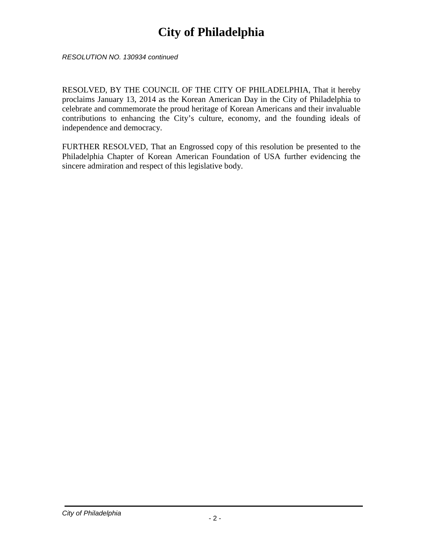*RESOLUTION NO. 130934 continued*

RESOLVED, BY THE COUNCIL OF THE CITY OF PHILADELPHIA, That it hereby proclaims January 13, 2014 as the Korean American Day in the City of Philadelphia to celebrate and commemorate the proud heritage of Korean Americans and their invaluable contributions to enhancing the City's culture, economy, and the founding ideals of independence and democracy.

FURTHER RESOLVED, That an Engrossed copy of this resolution be presented to the Philadelphia Chapter of Korean American Foundation of USA further evidencing the sincere admiration and respect of this legislative body.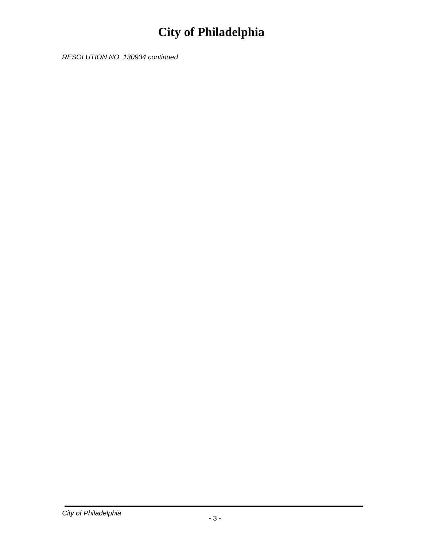RESOLUTION NO. 130934 continued